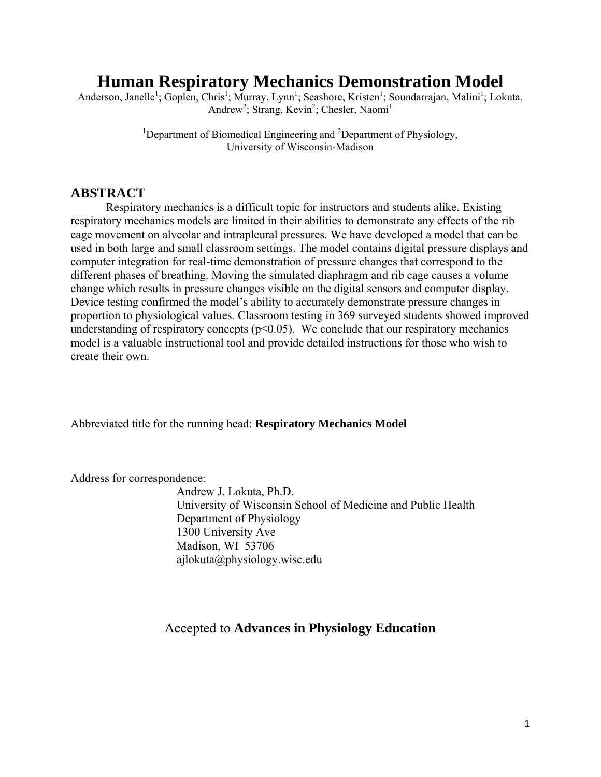# **Human Respiratory Mechanics Demonstration Model**

Anderson, Janelle<sup>1</sup>; Goplen, Chris<sup>1</sup>; Murray, Lynn<sup>1</sup>; Seashore, Kristen<sup>1</sup>; Soundarrajan, Malini<sup>1</sup>; Lokuta, Andrew<sup>2</sup>; Strang, Kevin<sup>2</sup>; Chesler, Naomi<sup>1</sup>

> <sup>1</sup>Department of Biomedical Engineering and <sup>2</sup>Department of Physiology, University of Wisconsin-Madison

### **ABSTRACT**

Respiratory mechanics is a difficult topic for instructors and students alike. Existing respiratory mechanics models are limited in their abilities to demonstrate any effects of the rib cage movement on alveolar and intrapleural pressures. We have developed a model that can be used in both large and small classroom settings. The model contains digital pressure displays and computer integration for real-time demonstration of pressure changes that correspond to the different phases of breathing. Moving the simulated diaphragm and rib cage causes a volume change which results in pressure changes visible on the digital sensors and computer display. Device testing confirmed the model's ability to accurately demonstrate pressure changes in proportion to physiological values. Classroom testing in 369 surveyed students showed improved understanding of respiratory concepts ( $p<0.05$ ). We conclude that our respiratory mechanics model is a valuable instructional tool and provide detailed instructions for those who wish to create their own.

Abbreviated title for the running head: **Respiratory Mechanics Model** 

Address for correspondence:

 Andrew J. Lokuta, Ph.D. University of Wisconsin School of Medicine and Public Health Department of Physiology 1300 University Ave Madison, WI 53706 ajlokuta@physiology.wisc.edu

### Accepted to **Advances in Physiology Education**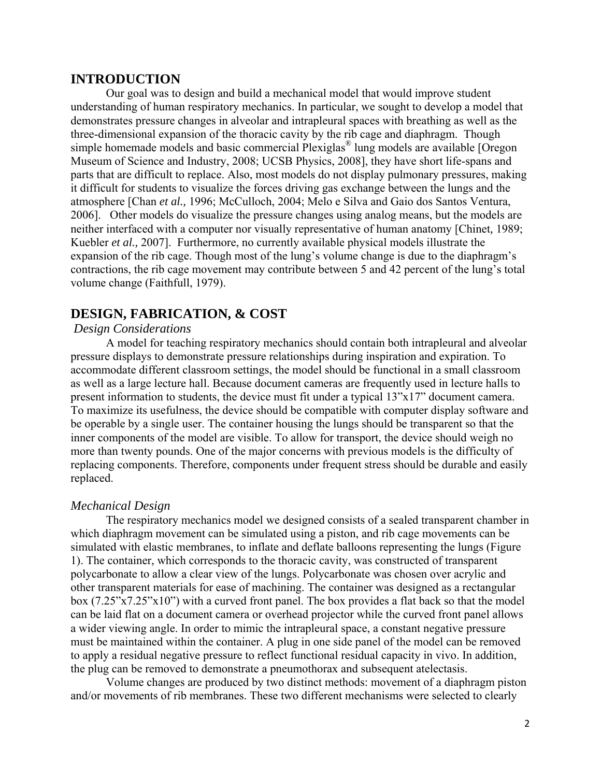### **INTRODUCTION**

Our goal was to design and build a mechanical model that would improve student understanding of human respiratory mechanics. In particular, we sought to develop a model that demonstrates pressure changes in alveolar and intrapleural spaces with breathing as well as the three-dimensional expansion of the thoracic cavity by the rib cage and diaphragm. Though simple homemade models and basic commercial Plexiglas<sup>®</sup> lung models are available [Oregon] Museum of Science and Industry, 2008; UCSB Physics, 2008], they have short life-spans and parts that are difficult to replace. Also, most models do not display pulmonary pressures, making it difficult for students to visualize the forces driving gas exchange between the lungs and the atmosphere [Chan *et al.,* 1996; McCulloch, 2004; Melo e Silva and Gaio dos Santos Ventura, 2006]. Other models do visualize the pressure changes using analog means, but the models are neither interfaced with a computer nor visually representative of human anatomy [Chinet*,* 1989; Kuebler *et al.,* 2007]. Furthermore, no currently available physical models illustrate the expansion of the rib cage. Though most of the lung's volume change is due to the diaphragm's contractions, the rib cage movement may contribute between 5 and 42 percent of the lung's total volume change (Faithfull, 1979).

### **DESIGN, FABRICATION, & COST**

### *Design Considerations*

A model for teaching respiratory mechanics should contain both intrapleural and alveolar pressure displays to demonstrate pressure relationships during inspiration and expiration. To accommodate different classroom settings, the model should be functional in a small classroom as well as a large lecture hall. Because document cameras are frequently used in lecture halls to present information to students, the device must fit under a typical 13"x17" document camera. To maximize its usefulness, the device should be compatible with computer display software and be operable by a single user. The container housing the lungs should be transparent so that the inner components of the model are visible. To allow for transport, the device should weigh no more than twenty pounds. One of the major concerns with previous models is the difficulty of replacing components. Therefore, components under frequent stress should be durable and easily replaced.

### *Mechanical Design*

The respiratory mechanics model we designed consists of a sealed transparent chamber in which diaphragm movement can be simulated using a piston, and rib cage movements can be simulated with elastic membranes, to inflate and deflate balloons representing the lungs (Figure 1). The container, which corresponds to the thoracic cavity, was constructed of transparent polycarbonate to allow a clear view of the lungs. Polycarbonate was chosen over acrylic and other transparent materials for ease of machining. The container was designed as a rectangular box (7.25"x7.25"x10") with a curved front panel. The box provides a flat back so that the model can be laid flat on a document camera or overhead projector while the curved front panel allows a wider viewing angle. In order to mimic the intrapleural space, a constant negative pressure must be maintained within the container. A plug in one side panel of the model can be removed to apply a residual negative pressure to reflect functional residual capacity in vivo. In addition, the plug can be removed to demonstrate a pneumothorax and subsequent atelectasis.

Volume changes are produced by two distinct methods: movement of a diaphragm piston and/or movements of rib membranes. These two different mechanisms were selected to clearly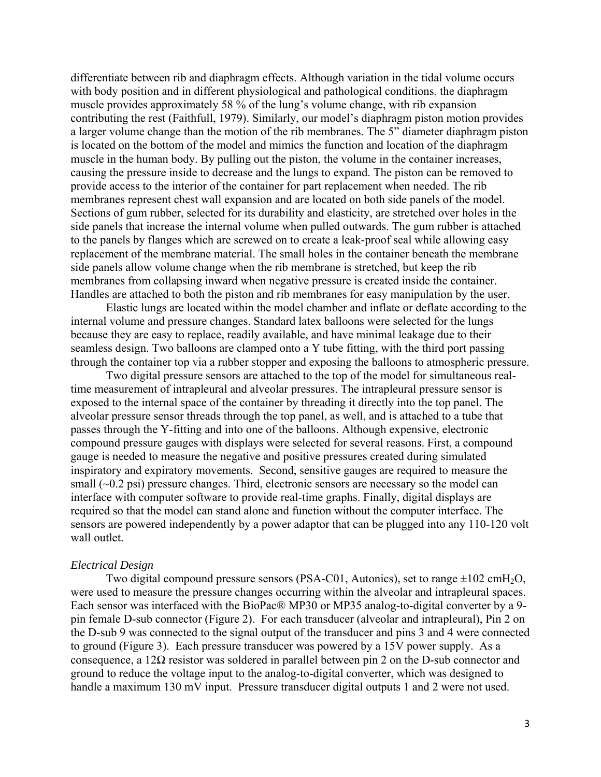differentiate between rib and diaphragm effects. Although variation in the tidal volume occurs with body position and in different physiological and pathological conditions, the diaphragm muscle provides approximately 58 % of the lung's volume change, with rib expansion contributing the rest (Faithfull, 1979). Similarly, our model's diaphragm piston motion provides a larger volume change than the motion of the rib membranes. The 5" diameter diaphragm piston is located on the bottom of the model and mimics the function and location of the diaphragm muscle in the human body. By pulling out the piston, the volume in the container increases, causing the pressure inside to decrease and the lungs to expand. The piston can be removed to provide access to the interior of the container for part replacement when needed. The rib membranes represent chest wall expansion and are located on both side panels of the model. Sections of gum rubber, selected for its durability and elasticity, are stretched over holes in the side panels that increase the internal volume when pulled outwards. The gum rubber is attached to the panels by flanges which are screwed on to create a leak-proof seal while allowing easy replacement of the membrane material. The small holes in the container beneath the membrane side panels allow volume change when the rib membrane is stretched, but keep the rib membranes from collapsing inward when negative pressure is created inside the container. Handles are attached to both the piston and rib membranes for easy manipulation by the user.

Elastic lungs are located within the model chamber and inflate or deflate according to the internal volume and pressure changes. Standard latex balloons were selected for the lungs because they are easy to replace, readily available, and have minimal leakage due to their seamless design. Two balloons are clamped onto a Y tube fitting, with the third port passing through the container top via a rubber stopper and exposing the balloons to atmospheric pressure.

Two digital pressure sensors are attached to the top of the model for simultaneous realtime measurement of intrapleural and alveolar pressures. The intrapleural pressure sensor is exposed to the internal space of the container by threading it directly into the top panel. The alveolar pressure sensor threads through the top panel, as well, and is attached to a tube that passes through the Y-fitting and into one of the balloons. Although expensive, electronic compound pressure gauges with displays were selected for several reasons. First, a compound gauge is needed to measure the negative and positive pressures created during simulated inspiratory and expiratory movements. Second, sensitive gauges are required to measure the small (~0.2 psi) pressure changes. Third, electronic sensors are necessary so the model can interface with computer software to provide real-time graphs. Finally, digital displays are required so that the model can stand alone and function without the computer interface. The sensors are powered independently by a power adaptor that can be plugged into any 110-120 volt wall outlet.

#### *Electrical Design*

Two digital compound pressure sensors (PSA-C01, Autonics), set to range  $\pm 102 \text{ cm}$ H<sub>2</sub>O, were used to measure the pressure changes occurring within the alveolar and intrapleural spaces. Each sensor was interfaced with the BioPac® MP30 or MP35 analog-to-digital converter by a 9 pin female D-sub connector (Figure 2). For each transducer (alveolar and intrapleural), Pin 2 on the D-sub 9 was connected to the signal output of the transducer and pins 3 and 4 were connected to ground (Figure 3). Each pressure transducer was powered by a 15V power supply. As a consequence, a  $12\Omega$  resistor was soldered in parallel between pin 2 on the D-sub connector and ground to reduce the voltage input to the analog-to-digital converter, which was designed to handle a maximum 130 mV input. Pressure transducer digital outputs 1 and 2 were not used.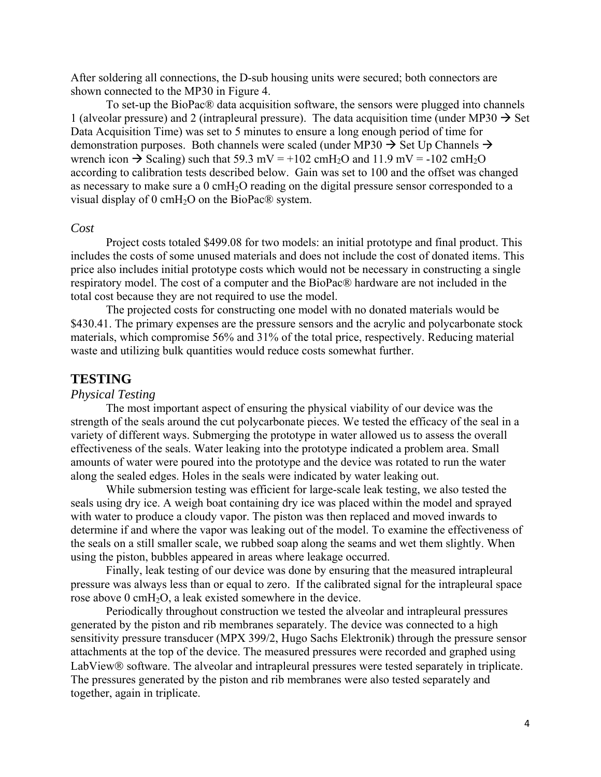After soldering all connections, the D-sub housing units were secured; both connectors are shown connected to the MP30 in Figure 4.

To set-up the BioPac® data acquisition software, the sensors were plugged into channels 1 (alveolar pressure) and 2 (intrapleural pressure). The data acquisition time (under MP30  $\rightarrow$  Set Data Acquisition Time) was set to 5 minutes to ensure a long enough period of time for demonstration purposes. Both channels were scaled (under MP30  $\rightarrow$  Set Up Channels  $\rightarrow$ wrench icon  $\rightarrow$  Scaling) such that 59.3 mV = +102 cmH<sub>2</sub>O and 11.9 mV = -102 cmH<sub>2</sub>O according to calibration tests described below. Gain was set to 100 and the offset was changed as necessary to make sure a 0 cmH<sub>2</sub>O reading on the digital pressure sensor corresponded to a visual display of 0 cmH2O on the BioPac® system.

#### *Cost*

 Project costs totaled \$499.08 for two models: an initial prototype and final product. This includes the costs of some unused materials and does not include the cost of donated items. This price also includes initial prototype costs which would not be necessary in constructing a single respiratory model. The cost of a computer and the BioPac® hardware are not included in the total cost because they are not required to use the model.

The projected costs for constructing one model with no donated materials would be \$430.41. The primary expenses are the pressure sensors and the acrylic and polycarbonate stock materials, which compromise 56% and 31% of the total price, respectively. Reducing material waste and utilizing bulk quantities would reduce costs somewhat further.

### **TESTING**

### *Physical Testing*

The most important aspect of ensuring the physical viability of our device was the strength of the seals around the cut polycarbonate pieces. We tested the efficacy of the seal in a variety of different ways. Submerging the prototype in water allowed us to assess the overall effectiveness of the seals. Water leaking into the prototype indicated a problem area. Small amounts of water were poured into the prototype and the device was rotated to run the water along the sealed edges. Holes in the seals were indicated by water leaking out.

While submersion testing was efficient for large-scale leak testing, we also tested the seals using dry ice. A weigh boat containing dry ice was placed within the model and sprayed with water to produce a cloudy vapor. The piston was then replaced and moved inwards to determine if and where the vapor was leaking out of the model. To examine the effectiveness of the seals on a still smaller scale, we rubbed soap along the seams and wet them slightly. When using the piston, bubbles appeared in areas where leakage occurred.

Finally, leak testing of our device was done by ensuring that the measured intrapleural pressure was always less than or equal to zero. If the calibrated signal for the intrapleural space rose above 0 cmH2O, a leak existed somewhere in the device.

Periodically throughout construction we tested the alveolar and intrapleural pressures generated by the piston and rib membranes separately. The device was connected to a high sensitivity pressure transducer (MPX 399/2, Hugo Sachs Elektronik) through the pressure sensor attachments at the top of the device. The measured pressures were recorded and graphed using LabView® software. The alveolar and intrapleural pressures were tested separately in triplicate. The pressures generated by the piston and rib membranes were also tested separately and together, again in triplicate.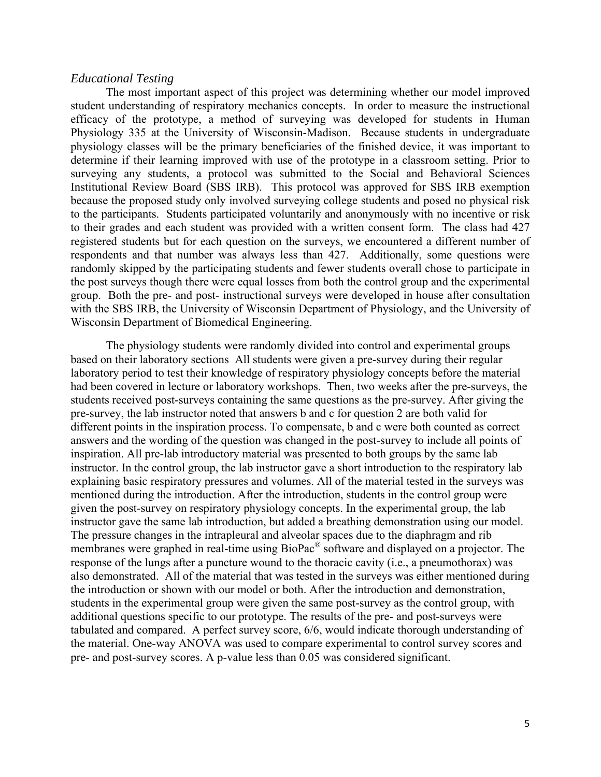#### *Educational Testing*

The most important aspect of this project was determining whether our model improved student understanding of respiratory mechanics concepts. In order to measure the instructional efficacy of the prototype, a method of surveying was developed for students in Human Physiology 335 at the University of Wisconsin-Madison. Because students in undergraduate physiology classes will be the primary beneficiaries of the finished device, it was important to determine if their learning improved with use of the prototype in a classroom setting. Prior to surveying any students, a protocol was submitted to the Social and Behavioral Sciences Institutional Review Board (SBS IRB). This protocol was approved for SBS IRB exemption because the proposed study only involved surveying college students and posed no physical risk to the participants. Students participated voluntarily and anonymously with no incentive or risk to their grades and each student was provided with a written consent form. The class had 427 registered students but for each question on the surveys, we encountered a different number of respondents and that number was always less than 427. Additionally, some questions were randomly skipped by the participating students and fewer students overall chose to participate in the post surveys though there were equal losses from both the control group and the experimental group. Both the pre- and post- instructional surveys were developed in house after consultation with the SBS IRB, the University of Wisconsin Department of Physiology, and the University of Wisconsin Department of Biomedical Engineering.

The physiology students were randomly divided into control and experimental groups based on their laboratory sections All students were given a pre-survey during their regular laboratory period to test their knowledge of respiratory physiology concepts before the material had been covered in lecture or laboratory workshops. Then, two weeks after the pre-surveys, the students received post-surveys containing the same questions as the pre-survey. After giving the pre-survey, the lab instructor noted that answers b and c for question 2 are both valid for different points in the inspiration process. To compensate, b and c were both counted as correct answers and the wording of the question was changed in the post-survey to include all points of inspiration. All pre-lab introductory material was presented to both groups by the same lab instructor. In the control group, the lab instructor gave a short introduction to the respiratory lab explaining basic respiratory pressures and volumes. All of the material tested in the surveys was mentioned during the introduction. After the introduction, students in the control group were given the post-survey on respiratory physiology concepts. In the experimental group, the lab instructor gave the same lab introduction, but added a breathing demonstration using our model. The pressure changes in the intrapleural and alveolar spaces due to the diaphragm and rib membranes were graphed in real-time using BioPac® software and displayed on a projector. The response of the lungs after a puncture wound to the thoracic cavity (i.e., a pneumothorax) was also demonstrated. All of the material that was tested in the surveys was either mentioned during the introduction or shown with our model or both. After the introduction and demonstration, students in the experimental group were given the same post-survey as the control group, with additional questions specific to our prototype. The results of the pre- and post-surveys were tabulated and compared. A perfect survey score, 6/6, would indicate thorough understanding of the material. One-way ANOVA was used to compare experimental to control survey scores and pre- and post-survey scores. A p-value less than 0.05 was considered significant.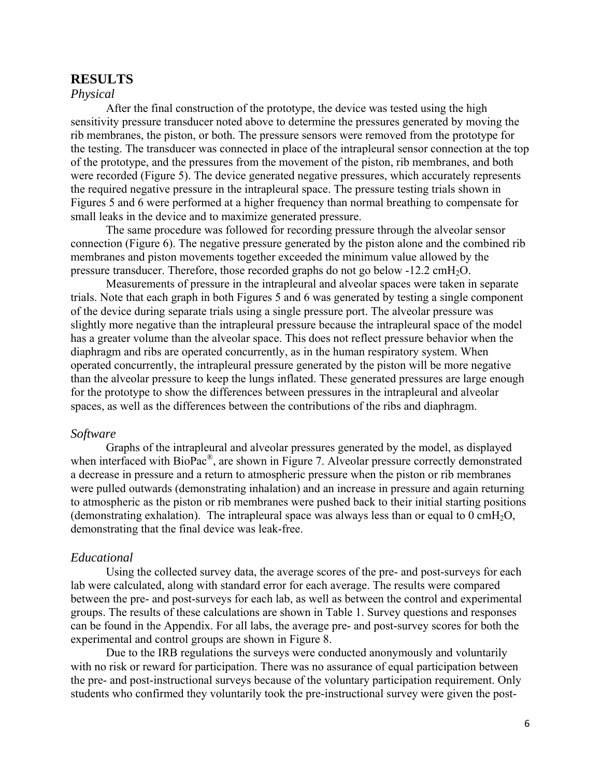### **RESULTS**

#### *Physical*

After the final construction of the prototype, the device was tested using the high sensitivity pressure transducer noted above to determine the pressures generated by moving the rib membranes, the piston, or both. The pressure sensors were removed from the prototype for the testing. The transducer was connected in place of the intrapleural sensor connection at the top of the prototype, and the pressures from the movement of the piston, rib membranes, and both were recorded (Figure 5). The device generated negative pressures, which accurately represents the required negative pressure in the intrapleural space. The pressure testing trials shown in Figures 5 and 6 were performed at a higher frequency than normal breathing to compensate for small leaks in the device and to maximize generated pressure.

The same procedure was followed for recording pressure through the alveolar sensor connection (Figure 6). The negative pressure generated by the piston alone and the combined rib membranes and piston movements together exceeded the minimum value allowed by the pressure transducer. Therefore, those recorded graphs do not go below  $-12.2 \text{ cm}H_2O$ .

 Measurements of pressure in the intrapleural and alveolar spaces were taken in separate trials. Note that each graph in both Figures 5 and 6 was generated by testing a single component of the device during separate trials using a single pressure port. The alveolar pressure was slightly more negative than the intrapleural pressure because the intrapleural space of the model has a greater volume than the alveolar space. This does not reflect pressure behavior when the diaphragm and ribs are operated concurrently, as in the human respiratory system. When operated concurrently, the intrapleural pressure generated by the piston will be more negative than the alveolar pressure to keep the lungs inflated. These generated pressures are large enough for the prototype to show the differences between pressures in the intrapleural and alveolar spaces, as well as the differences between the contributions of the ribs and diaphragm.

#### *Software*

 Graphs of the intrapleural and alveolar pressures generated by the model, as displayed when interfaced with BioPac<sup>®</sup>, are shown in Figure 7. Alveolar pressure correctly demonstrated a decrease in pressure and a return to atmospheric pressure when the piston or rib membranes were pulled outwards (demonstrating inhalation) and an increase in pressure and again returning to atmospheric as the piston or rib membranes were pushed back to their initial starting positions (demonstrating exhalation). The intrapleural space was always less than or equal to  $0 \text{ cm}H_2O$ , demonstrating that the final device was leak-free.

#### *Educational*

 Using the collected survey data, the average scores of the pre- and post-surveys for each lab were calculated, along with standard error for each average. The results were compared between the pre- and post-surveys for each lab, as well as between the control and experimental groups. The results of these calculations are shown in Table 1. Survey questions and responses can be found in the Appendix. For all labs, the average pre- and post-survey scores for both the experimental and control groups are shown in Figure 8.

 Due to the IRB regulations the surveys were conducted anonymously and voluntarily with no risk or reward for participation. There was no assurance of equal participation between the pre- and post-instructional surveys because of the voluntary participation requirement. Only students who confirmed they voluntarily took the pre-instructional survey were given the post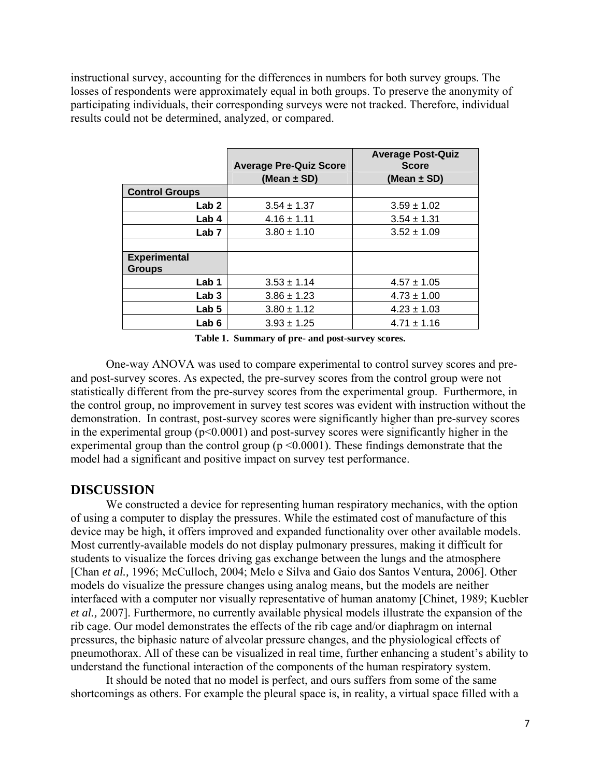instructional survey, accounting for the differences in numbers for both survey groups. The losses of respondents were approximately equal in both groups. To preserve the anonymity of participating individuals, their corresponding surveys were not tracked. Therefore, individual results could not be determined, analyzed, or compared.

|                       |                               | <b>Average Post-Quiz</b> |  |  |  |
|-----------------------|-------------------------------|--------------------------|--|--|--|
|                       | <b>Average Pre-Quiz Score</b> | <b>Score</b>             |  |  |  |
|                       | (Mean $\pm$ SD)               | (Mean $\pm$ SD)          |  |  |  |
| <b>Control Groups</b> |                               |                          |  |  |  |
| Lab <sub>2</sub>      | $3.54 \pm 1.37$               | $3.59 \pm 1.02$          |  |  |  |
| Lab 4                 | $4.16 \pm 1.11$               | $3.54 \pm 1.31$          |  |  |  |
| Lab <sub>7</sub>      | $3.80 \pm 1.10$               | $3.52 \pm 1.09$          |  |  |  |
|                       |                               |                          |  |  |  |
| <b>Experimental</b>   |                               |                          |  |  |  |
| <b>Groups</b>         |                               |                          |  |  |  |
| Lab <sub>1</sub>      | $3.53 \pm 1.14$               | $4.57 \pm 1.05$          |  |  |  |
| Lab <sub>3</sub>      | $3.86 \pm 1.23$               | $4.73 \pm 1.00$          |  |  |  |
| Lab <sub>5</sub>      | $3.80 \pm 1.12$               | $4.23 \pm 1.03$          |  |  |  |
| Lab 6                 | $3.93 \pm 1.25$               | $4.71 \pm 1.16$          |  |  |  |

**Table 1. Summary of pre- and post-survey scores.** 

One-way ANOVA was used to compare experimental to control survey scores and preand post-survey scores. As expected, the pre-survey scores from the control group were not statistically different from the pre-survey scores from the experimental group. Furthermore, in the control group, no improvement in survey test scores was evident with instruction without the demonstration. In contrast, post-survey scores were significantly higher than pre-survey scores in the experimental group  $(p<0.0001)$  and post-survey scores were significantly higher in the experimental group than the control group ( $p \le 0.0001$ ). These findings demonstrate that the model had a significant and positive impact on survey test performance.

# **DISCUSSION**

 We constructed a device for representing human respiratory mechanics, with the option of using a computer to display the pressures. While the estimated cost of manufacture of this device may be high, it offers improved and expanded functionality over other available models. Most currently-available models do not display pulmonary pressures, making it difficult for students to visualize the forces driving gas exchange between the lungs and the atmosphere [Chan *et al.,* 1996; McCulloch, 2004; Melo e Silva and Gaio dos Santos Ventura, 2006]. Other models do visualize the pressure changes using analog means, but the models are neither interfaced with a computer nor visually representative of human anatomy [Chinet*,* 1989; Kuebler *et al.,* 2007]. Furthermore, no currently available physical models illustrate the expansion of the rib cage. Our model demonstrates the effects of the rib cage and/or diaphragm on internal pressures, the biphasic nature of alveolar pressure changes, and the physiological effects of pneumothorax. All of these can be visualized in real time, further enhancing a student's ability to understand the functional interaction of the components of the human respiratory system.

 It should be noted that no model is perfect, and ours suffers from some of the same shortcomings as others. For example the pleural space is, in reality, a virtual space filled with a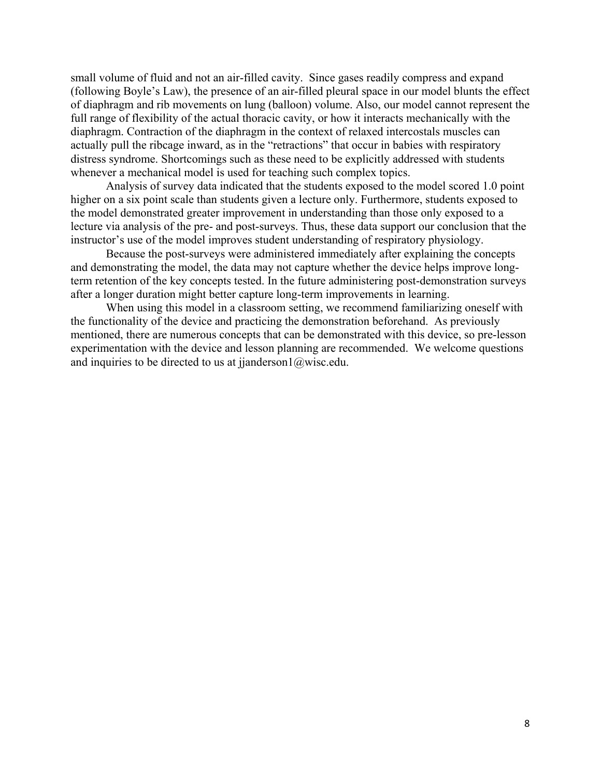small volume of fluid and not an air-filled cavity. Since gases readily compress and expand (following Boyle's Law), the presence of an air-filled pleural space in our model blunts the effect of diaphragm and rib movements on lung (balloon) volume. Also, our model cannot represent the full range of flexibility of the actual thoracic cavity, or how it interacts mechanically with the diaphragm. Contraction of the diaphragm in the context of relaxed intercostals muscles can actually pull the ribcage inward, as in the "retractions" that occur in babies with respiratory distress syndrome. Shortcomings such as these need to be explicitly addressed with students whenever a mechanical model is used for teaching such complex topics.

Analysis of survey data indicated that the students exposed to the model scored 1.0 point higher on a six point scale than students given a lecture only. Furthermore, students exposed to the model demonstrated greater improvement in understanding than those only exposed to a lecture via analysis of the pre- and post-surveys. Thus, these data support our conclusion that the instructor's use of the model improves student understanding of respiratory physiology.

Because the post-surveys were administered immediately after explaining the concepts and demonstrating the model, the data may not capture whether the device helps improve longterm retention of the key concepts tested. In the future administering post-demonstration surveys after a longer duration might better capture long-term improvements in learning.

When using this model in a classroom setting, we recommend familiarizing oneself with the functionality of the device and practicing the demonstration beforehand. As previously mentioned, there are numerous concepts that can be demonstrated with this device, so pre-lesson experimentation with the device and lesson planning are recommended. We welcome questions and inquiries to be directed to us at jianderson $1$   $\omega$ wisc.edu.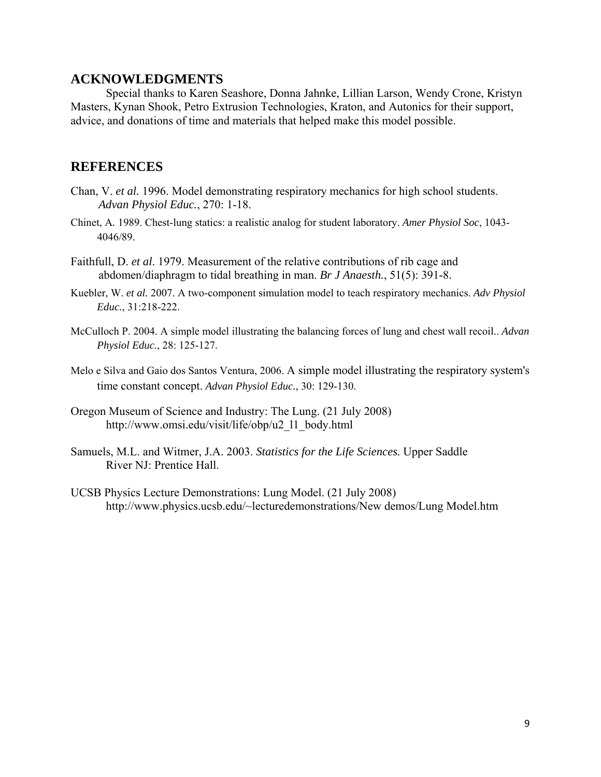### **ACKNOWLEDGMENTS**

Special thanks to Karen Seashore, Donna Jahnke, Lillian Larson, Wendy Crone, Kristyn Masters, Kynan Shook, Petro Extrusion Technologies, Kraton, and Autonics for their support, advice, and donations of time and materials that helped make this model possible.

### **REFERENCES**

- Chan, V. *et al.* 1996. Model demonstrating respiratory mechanics for high school students. *Advan Physiol Educ.*, 270: 1-18.
- Chinet, A*.* 1989. Chest-lung statics: a realistic analog for student laboratory. *Amer Physiol Soc*, 1043- 4046/89.
- Faithfull, D. *et al*. 1979. Measurement of the relative contributions of rib cage and abdomen/diaphragm to tidal breathing in man. *Br J Anaesth.*, 51(5): 391-8.
- Kuebler, W. *et al.* 2007. A two-component simulation model to teach respiratory mechanics. *Adv Physiol Educ.*, 31:218-222.
- McCulloch P. 2004. A simple model illustrating the balancing forces of lung and chest wall recoil.. *Advan Physiol Educ.*, 28: 125-127.
- Melo e Silva and Gaio dos Santos Ventura, 2006. A simple model illustrating the respiratory system's time constant concept. *Advan Physiol Educ.*, 30: 129-130.
- Oregon Museum of Science and Industry: The Lung. (21 July 2008) http://www.omsi.edu/visit/life/obp/u2\_l1\_body.html
- Samuels, M.L. and Witmer, J.A. 2003. *Statistics for the Life Sciences.* Upper Saddle River NJ: Prentice Hall.
- UCSB Physics Lecture Demonstrations: Lung Model. (21 July 2008) http://www.physics.ucsb.edu/~lecturedemonstrations/New demos/Lung Model.htm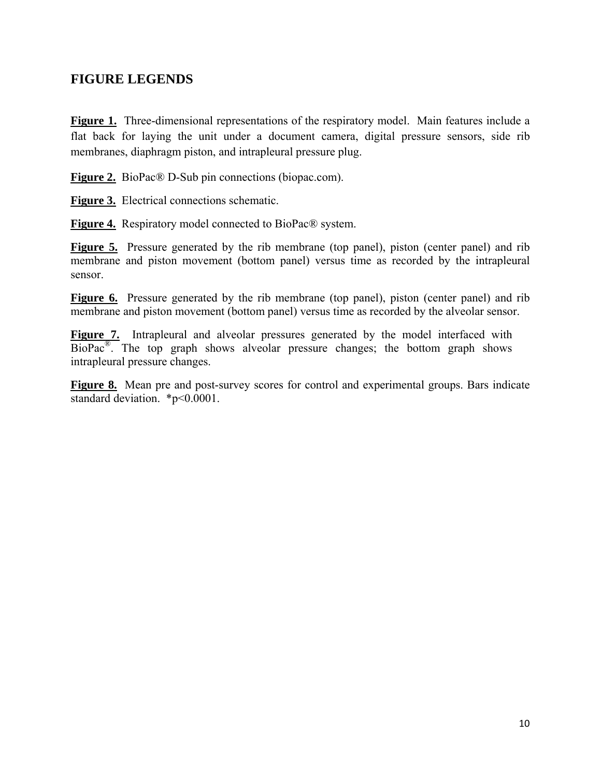# **FIGURE LEGENDS**

**Figure 1.** Three-dimensional representations of the respiratory model. Main features include a flat back for laying the unit under a document camera, digital pressure sensors, side rib membranes, diaphragm piston, and intrapleural pressure plug.

**Figure 2.** BioPac<sup>®</sup> D-Sub pin connections (biopac.com).

**Figure 3.** Electrical connections schematic.

**Figure 4.** Respiratory model connected to BioPac<sup>®</sup> system.

Figure 5. Pressure generated by the rib membrane (top panel), piston (center panel) and rib membrane and piston movement (bottom panel) versus time as recorded by the intrapleural sensor.

Figure 6. Pressure generated by the rib membrane (top panel), piston (center panel) and rib membrane and piston movement (bottom panel) versus time as recorded by the alveolar sensor.

Figure 7. Intrapleural and alveolar pressures generated by the model interfaced with  $\overline{BioPac^{\otimes}}$ . The top graph shows alveolar pressure changes; the bottom graph shows intrapleural pressure changes.

Figure 8. Mean pre and post-survey scores for control and experimental groups. Bars indicate standard deviation. \*p<0.0001.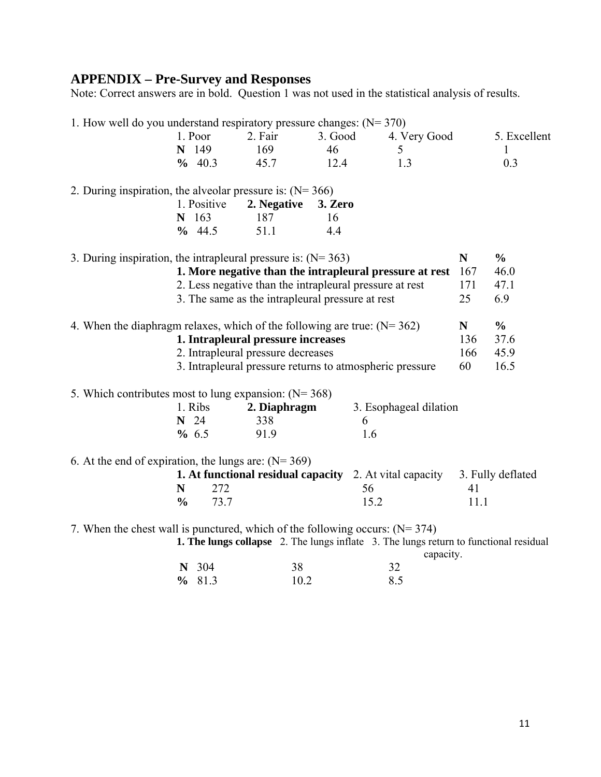# **APPENDIX – Pre-Survey and Responses**

Note: Correct answers are in bold. Question 1 was not used in the statistical analysis of results.

| 1. How well do you understand respiratory pressure changes: $(N = 370)$       |               |             |                                                  |         |                                                                                                           |             |                   |
|-------------------------------------------------------------------------------|---------------|-------------|--------------------------------------------------|---------|-----------------------------------------------------------------------------------------------------------|-------------|-------------------|
|                                                                               |               | 1. Poor     | 2. Fair                                          | 3. Good | 4. Very Good                                                                                              |             | 5. Excellent      |
|                                                                               |               | N 149       | 169                                              | 46      | 5                                                                                                         |             | $\mathbf{1}$      |
|                                                                               |               | $\%$ 40.3   | 45.7                                             | 12.4    | 1.3                                                                                                       |             | 0.3               |
| 2. During inspiration, the alveolar pressure is: $(N=366)$                    |               |             |                                                  |         |                                                                                                           |             |                   |
|                                                                               |               | 1. Positive | 2. Negative                                      | 3. Zero |                                                                                                           |             |                   |
|                                                                               |               | $N$ 163     | 187                                              | 16      |                                                                                                           |             |                   |
|                                                                               |               | $\%$ 44.5   | 51.1                                             | 4.4     |                                                                                                           |             |                   |
| 3. During inspiration, the intrapleural pressure is: $(N=363)$                |               |             |                                                  |         |                                                                                                           | $\mathbf N$ | $\frac{0}{0}$     |
|                                                                               |               |             |                                                  |         | 1. More negative than the intrapleural pressure at rest                                                   | 167         | 46.0              |
|                                                                               |               |             |                                                  |         | 2. Less negative than the intrapleural pressure at rest                                                   | 171         | 47.1              |
|                                                                               |               |             | 3. The same as the intrapleural pressure at rest |         |                                                                                                           | 25          | 6.9               |
| 4. When the diaphragm relaxes, which of the following are true: $(N = 362)$   |               |             |                                                  |         |                                                                                                           | N           | $\frac{6}{6}$     |
|                                                                               |               |             | 1. Intrapleural pressure increases               |         |                                                                                                           | 136         | 37.6              |
|                                                                               |               |             | 2. Intrapleural pressure decreases               |         |                                                                                                           | 166         | 45.9              |
|                                                                               |               |             |                                                  |         | 3. Intrapleural pressure returns to atmospheric pressure                                                  | 60          | 16.5              |
| 5. Which contributes most to lung expansion: $(N=368)$                        |               |             |                                                  |         |                                                                                                           |             |                   |
|                                                                               |               | 1. Ribs     | 2. Diaphragm                                     |         | 3. Esophageal dilation                                                                                    |             |                   |
|                                                                               |               | N 24        | 338                                              |         | 6                                                                                                         |             |                   |
|                                                                               |               | % 6.5       | 91.9                                             |         | 1.6                                                                                                       |             |                   |
| 6. At the end of expiration, the lungs are: $(N=369)$                         |               |             |                                                  |         |                                                                                                           |             |                   |
|                                                                               |               |             |                                                  |         | <b>1. At functional residual capacity</b> 2. At vital capacity                                            |             | 3. Fully deflated |
|                                                                               | N             | 272         |                                                  |         | 56                                                                                                        | 41          |                   |
|                                                                               | $\frac{0}{0}$ | 73.7        |                                                  |         | 15.2                                                                                                      | 11.1        |                   |
| 7. When the chest wall is punctured, which of the following occurs: $(N=374)$ |               |             |                                                  |         |                                                                                                           |             |                   |
|                                                                               |               |             |                                                  |         | <b>1. The lungs collapse</b> 2. The lungs inflate 3. The lungs return to functional residual<br>capacity. |             |                   |
|                                                                               |               | N 304       | 38                                               |         | 32                                                                                                        |             |                   |
|                                                                               |               | % 81.3      | 10.2                                             |         | 8.5                                                                                                       |             |                   |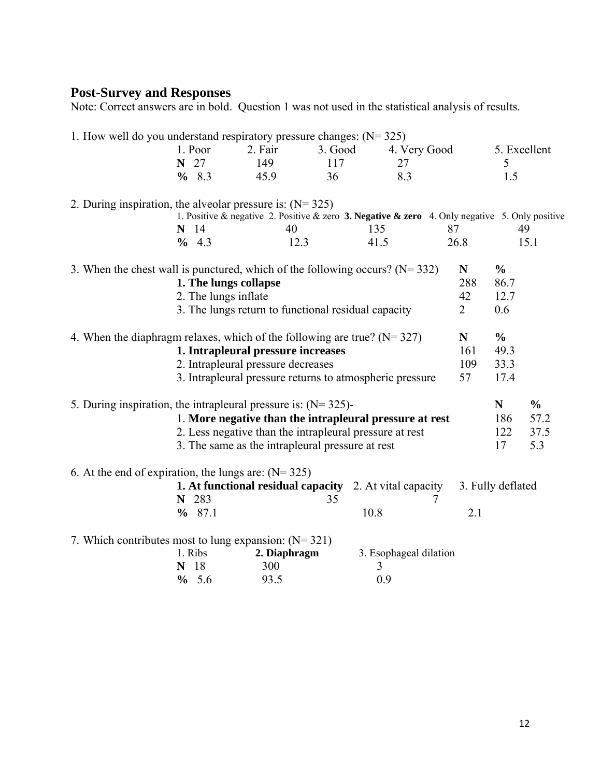# **Post-Survey and Responses**

Note: Correct answers are in bold. Question 1 was not used in the statistical analysis of results.

| 1. How well do you understand respiratory pressure changes: $(N = 325)$           |                       |                                                                |         |                        |                                                                                                |                   |               |
|-----------------------------------------------------------------------------------|-----------------------|----------------------------------------------------------------|---------|------------------------|------------------------------------------------------------------------------------------------|-------------------|---------------|
|                                                                                   | 1. Poor               | 2. Fair                                                        | 3. Good |                        | 4. Very Good                                                                                   |                   | 5. Excellent  |
|                                                                                   | N 27                  | 149                                                            | 117     | 27                     |                                                                                                | 5                 |               |
|                                                                                   | % 8.3                 | 45.9                                                           | 36      | 8.3                    |                                                                                                | 1.5               |               |
| 2. During inspiration, the alveolar pressure is: $(N=325)$                        |                       |                                                                |         |                        |                                                                                                |                   |               |
|                                                                                   |                       |                                                                |         |                        | 1. Positive & negative 2. Positive & zero 3. Negative & zero 4. Only negative 5. Only positive |                   |               |
|                                                                                   | $N$ 14                | 40                                                             |         | 135                    | 87                                                                                             |                   | 49            |
|                                                                                   | % 4.3                 | 12.3                                                           |         | 41.5                   | 26.8                                                                                           |                   | 15.1          |
| 3. When the chest wall is punctured, which of the following occurs? ( $N = 332$ ) |                       |                                                                |         |                        | $\mathbf N$                                                                                    | $\frac{6}{6}$     |               |
|                                                                                   | 1. The lungs collapse |                                                                |         |                        | 288                                                                                            | 86.7              |               |
|                                                                                   | 2. The lungs inflate  |                                                                |         |                        | 42                                                                                             | 12.7              |               |
|                                                                                   |                       | 3. The lungs return to functional residual capacity            |         |                        | $\overline{2}$                                                                                 | 0.6               |               |
| 4. When the diaphragm relaxes, which of the following are true? ( $N = 327$ )     |                       |                                                                |         |                        | $\mathbf N$                                                                                    | $\frac{6}{9}$     |               |
|                                                                                   |                       | 1. Intrapleural pressure increases                             |         |                        | 161                                                                                            | 49.3              |               |
|                                                                                   |                       | 2. Intrapleural pressure decreases                             |         |                        | 109                                                                                            | 33.3              |               |
|                                                                                   |                       | 3. Intrapleural pressure returns to atmospheric pressure       |         |                        | 57                                                                                             | 17.4              |               |
| 5. During inspiration, the intrapleural pressure is: $(N=325)$ -                  |                       |                                                                |         |                        |                                                                                                | ${\bf N}$         | $\frac{0}{0}$ |
|                                                                                   |                       | 1. More negative than the intrapleural pressure at rest        |         |                        |                                                                                                | 186               | 57.2          |
|                                                                                   |                       | 2. Less negative than the intrapleural pressure at rest        |         |                        |                                                                                                | 122               | 37.5          |
|                                                                                   |                       | 3. The same as the intrapleural pressure at rest               |         |                        |                                                                                                | 17                | 5.3           |
| 6. At the end of expiration, the lungs are: $(N=325)$                             |                       |                                                                |         |                        |                                                                                                |                   |               |
|                                                                                   |                       | <b>1. At functional residual capacity</b> 2. At vital capacity |         |                        |                                                                                                | 3. Fully deflated |               |
|                                                                                   | N 283                 |                                                                | 35      |                        | 7                                                                                              |                   |               |
|                                                                                   | $\%$ 87.1             |                                                                |         | 10.8                   |                                                                                                | 2.1               |               |
| 7. Which contributes most to lung expansion: $(N=321)$                            |                       |                                                                |         |                        |                                                                                                |                   |               |
|                                                                                   | 1. Ribs               | 2. Diaphragm                                                   |         | 3. Esophageal dilation |                                                                                                |                   |               |
|                                                                                   |                       |                                                                |         |                        |                                                                                                |                   |               |
|                                                                                   | N 18                  | 300                                                            |         | 3                      |                                                                                                |                   |               |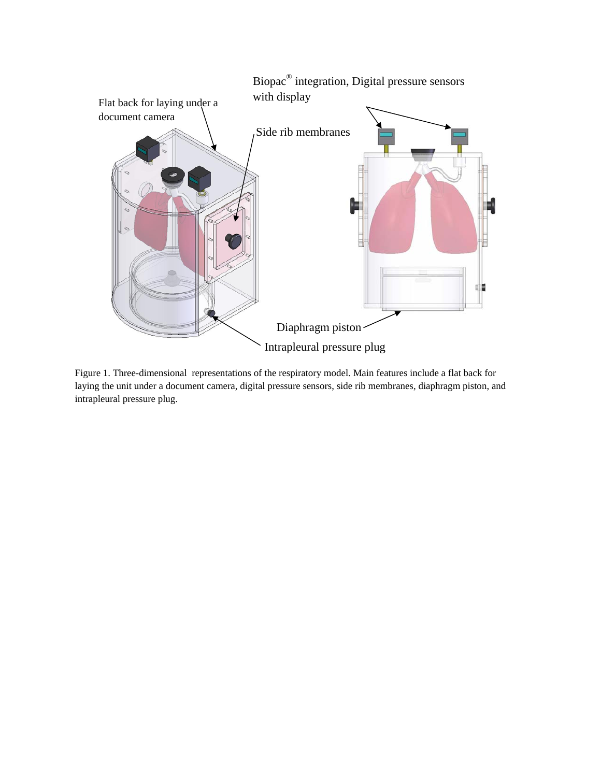

Figure 1. Three-dimensional representations of the respiratory model. Main features include a flat back for laying the unit under a document camera, digital pressure sensors, side rib membranes, diaphragm piston, and intrapleural pressure plug.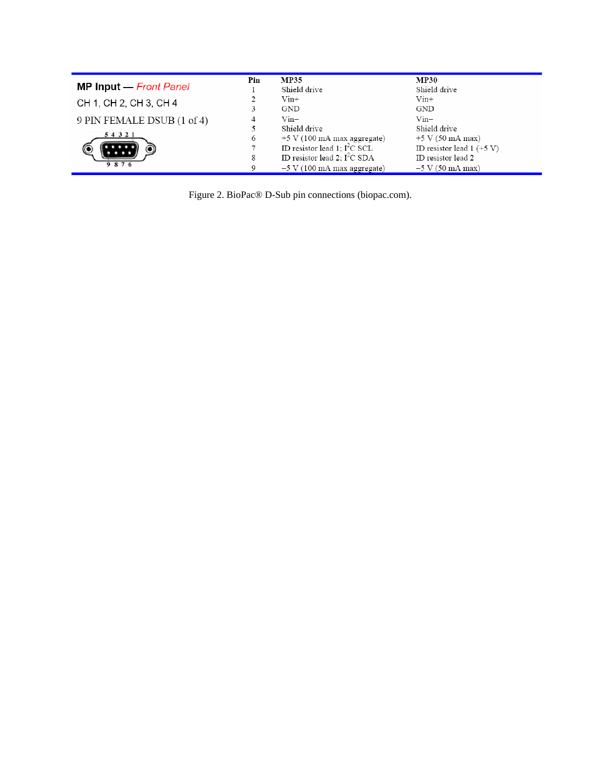|                               | Pin         | <b>MP35</b>                   | <b>MP30</b>                 |
|-------------------------------|-------------|-------------------------------|-----------------------------|
| <b>MP Input</b> — Front Panel |             | Shield drive                  | Shield drive                |
| CH 1, CH 2, CH 3, CH 4        |             | $V\text{in}+$                 | $\rm{V}$ in+                |
|                               | 3           | <b>GND</b>                    | GND                         |
| 9 PIN FEMALE DSUB (1 of 4)    | 4           | $V$ in-                       | $V$ in-                     |
|                               | 5           | Shield drive                  | Shield drive                |
| 5 4 3 2 1                     | 6           | $+5$ V (100 mA max aggregate) | $+5$ V (50 mA max)          |
| ©                             |             | ID resistor lead 1; $I2C$ SCL | ID resistor lead $1 (+5 V)$ |
|                               | 8           | ID resistor lead 2; $I2C$ SDA | ID resistor lead 2          |
|                               | $\mathbf Q$ | $-5$ V (100 mA max aggregate) | $-5$ V (50 mA max)          |

Figure 2. BioPac® D-Sub pin connections (biopac.com).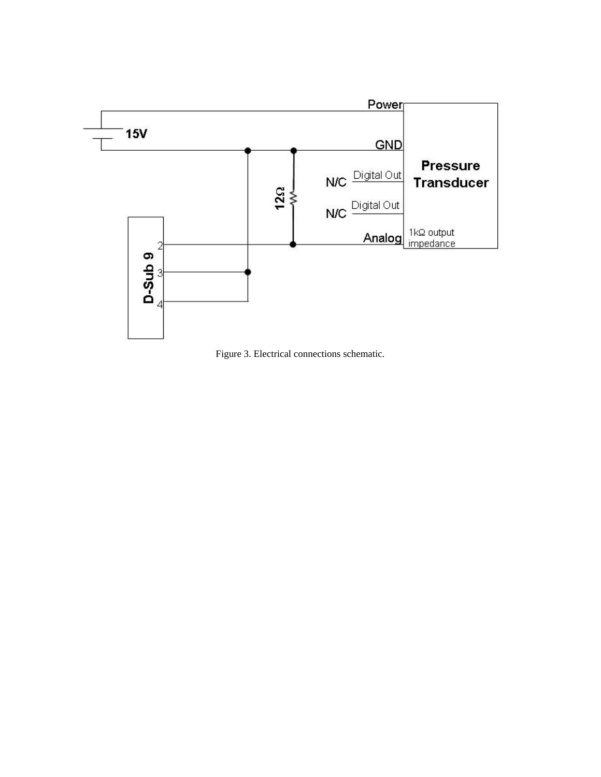

Figure 3. Electrical connections schematic.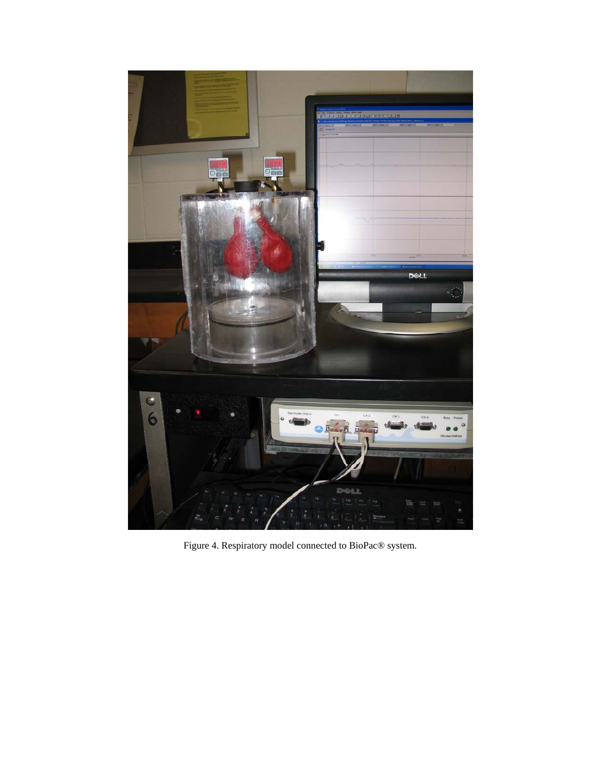

Figure 4. Respiratory model connected to BioPac® system.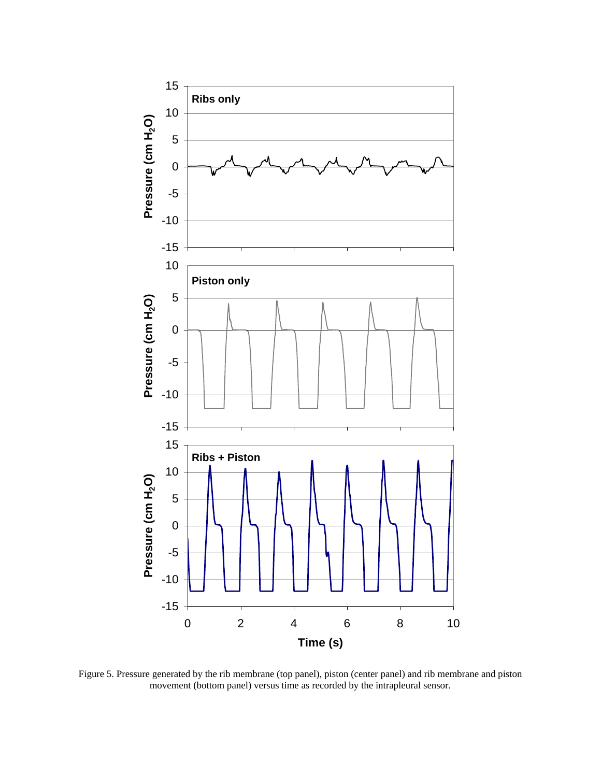

Figure 5. Pressure generated by the rib membrane (top panel), piston (center panel) and rib membrane and piston movement (bottom panel) versus time as recorded by the intrapleural sensor.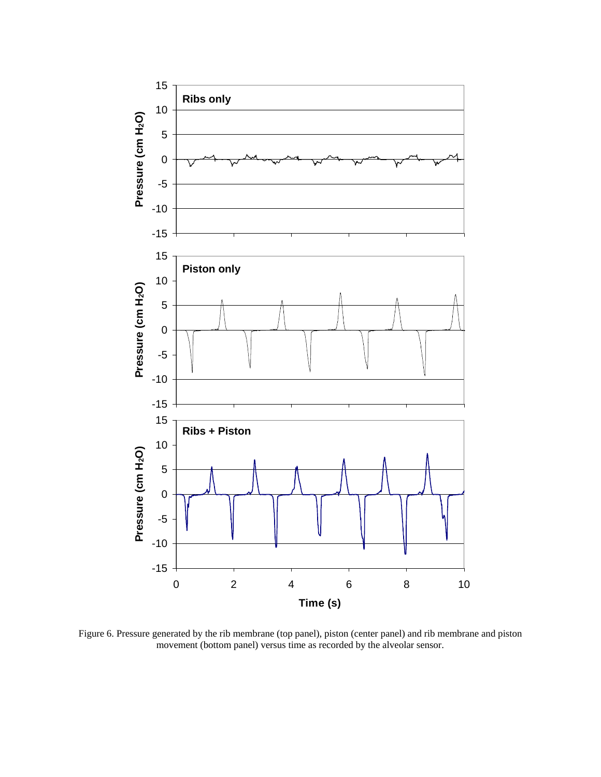

Figure 6. Pressure generated by the rib membrane (top panel), piston (center panel) and rib membrane and piston movement (bottom panel) versus time as recorded by the alveolar sensor.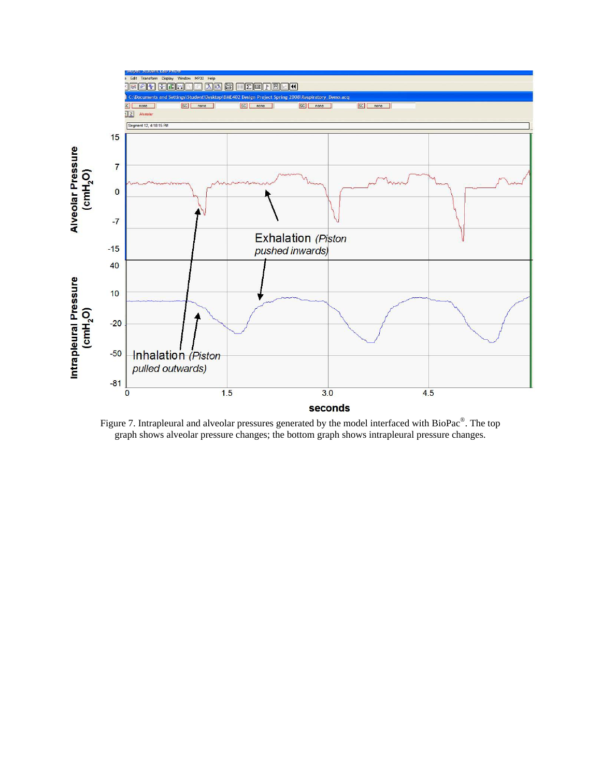

Figure 7. Intrapleural and alveolar pressures generated by the model interfaced with BioPac®. The top graph shows alveolar pressure changes; the bottom graph shows intrapleural pressure changes.